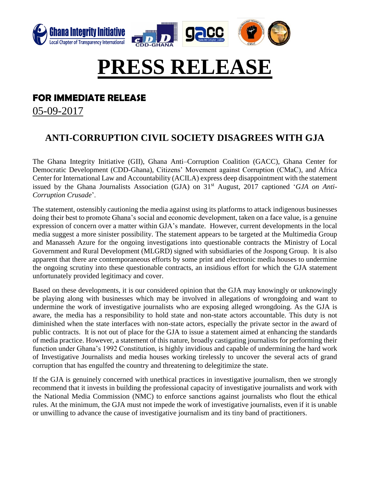

## **PRESS RELEASE**

## **FOR IMMEDIATE RELEASE**

05-09-2017

## **ANTI-CORRUPTION CIVIL SOCIETY DISAGREES WITH GJA**

The Ghana Integrity Initiative (GII), Ghana Anti–Corruption Coalition (GACC), Ghana Center for Democratic Development (CDD-Ghana), Citizens' Movement against Corruption (CMaC), and Africa Center for International Law and Accountability (ACILA) express deep disappointment with the statement issued by the Ghana Journalists Association (GJA) on 31<sup>st</sup> August, 2017 captioned '*GJA on Anti*-*Corruption Crusade*'.

The statement, ostensibly cautioning the media against using its platforms to attack indigenous businesses doing their best to promote Ghana's social and economic development, taken on a face value, is a genuine expression of concern over a matter within GJA's mandate. However, current developments in the local media suggest a more sinister possibility. The statement appears to be targeted at the Multimedia Group and Manasseh Azure for the ongoing investigations into questionable contracts the Ministry of Local Government and Rural Development (MLGRD) signed with subsidiaries of the Jospong Group. It is also apparent that there are contemporaneous efforts by some print and electronic media houses to undermine the ongoing scrutiny into these questionable contracts, an insidious effort for which the GJA statement unfortunately provided legitimacy and cover.

Based on these developments, it is our considered opinion that the GJA may knowingly or unknowingly be playing along with businesses which may be involved in allegations of wrongdoing and want to undermine the work of investigative journalists who are exposing alleged wrongdoing. As the GJA is aware, the media has a responsibility to hold state and non-state actors accountable. This duty is not diminished when the state interfaces with non-state actors, especially the private sector in the award of public contracts. It is not out of place for the GJA to issue a statement aimed at enhancing the standards of media practice. However, a statement of this nature, broadly castigating journalists for performing their function under Ghana's 1992 Constitution, is highly invidious and capable of undermining the hard work of Investigative Journalists and media houses working tirelessly to uncover the several acts of grand corruption that has engulfed the country and threatening to delegitimize the state.

If the GJA is genuinely concerned with unethical practices in investigative journalism, then we strongly recommend that it invests in building the professional capacity of investigative journalists and work with the National Media Commission (NMC) to enforce sanctions against journalists who flout the ethical rules. At the minimum, the GJA must not impede the work of investigative journalists, even if it is unable or unwilling to advance the cause of investigative journalism and its tiny band of practitioners.